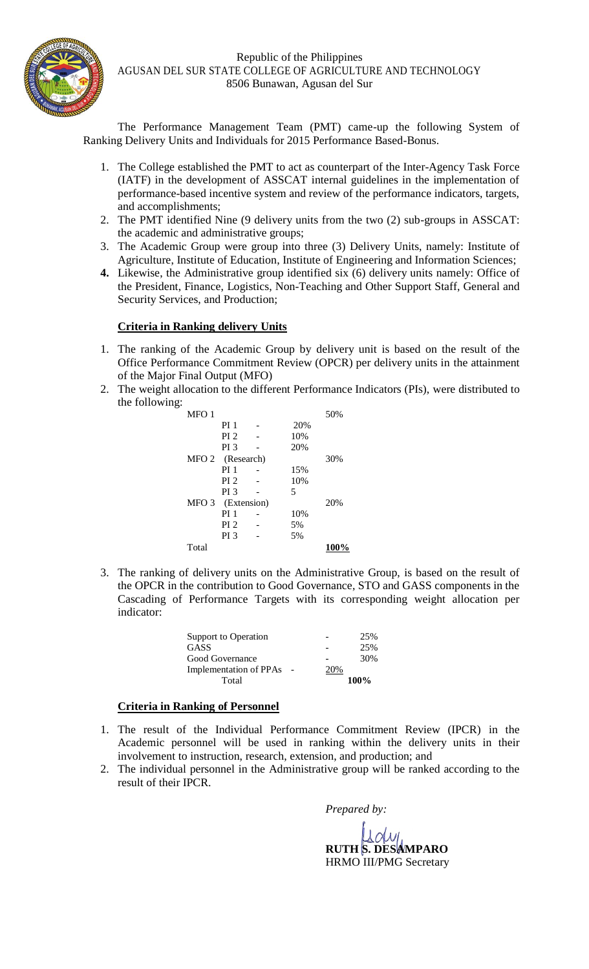

The Performance Management Team (PMT) came-up the following System of Ranking Delivery Units and Individuals for 2015 Performance Based-Bonus.

- 1. The College established the PMT to act as counterpart of the Inter-Agency Task Force (IATF) in the development of ASSCAT internal guidelines in the implementation of performance-based incentive system and review of the performance indicators, targets, and accomplishments;
- 2. The PMT identified Nine (9 delivery units from the two (2) sub-groups in ASSCAT: the academic and administrative groups;
- 3. The Academic Group were group into three (3) Delivery Units, namely: Institute of Agriculture, Institute of Education, Institute of Engineering and Information Sciences;
- **4.** Likewise, the Administrative group identified six (6) delivery units namely: Office of the President, Finance, Logistics, Non-Teaching and Other Support Staff, General and Security Services, and Production;

## **Criteria in Ranking delivery Units**

- 1. The ranking of the Academic Group by delivery unit is based on the result of the Office Performance Commitment Review (OPCR) per delivery units in the attainment of the Major Final Output (MFO)
- 2. The weight allocation to the different Performance Indicators (PIs), were distributed to the following:

| MFO 1 |                  |  |     | 50%  |
|-------|------------------|--|-----|------|
|       | PI <sub>1</sub>  |  | 20% |      |
|       | PI <sub>2</sub>  |  | 10% |      |
|       | PI <sub>3</sub>  |  | 20% |      |
|       | MFO 2 (Research) |  |     | 30%  |
|       | PI <sub>1</sub>  |  | 15% |      |
|       | PI <sub>2</sub>  |  | 10% |      |
|       | PI <sub>3</sub>  |  | 5   |      |
| MFO 3 | (Extension)      |  |     | 20%  |
|       | PI <sub>1</sub>  |  | 10% |      |
|       | PI <sub>2</sub>  |  | 5%  |      |
|       | PI <sub>3</sub>  |  | 5%  |      |
| Total |                  |  |     | 100% |

3. The ranking of delivery units on the Administrative Group, is based on the result of the OPCR in the contribution to Good Governance, STO and GASS components in the Cascading of Performance Targets with its corresponding weight allocation per indicator:

| Support to Operation          |     | 25%  |
|-------------------------------|-----|------|
| <b>GASS</b>                   |     | 25%  |
| Good Governance               |     | 30%  |
| <b>Implementation of PPAs</b> | 20% |      |
| Total                         |     | 100% |

## **Criteria in Ranking of Personnel**

- 1. The result of the Individual Performance Commitment Review (IPCR) in the Academic personnel will be used in ranking within the delivery units in their involvement to instruction, research, extension, and production; and
- 2. The individual personnel in the Administrative group will be ranked according to the result of their IPCR.

*Prepared by:*

**RUTH S. DESAMPARO** HRMO III/PMG Secretary